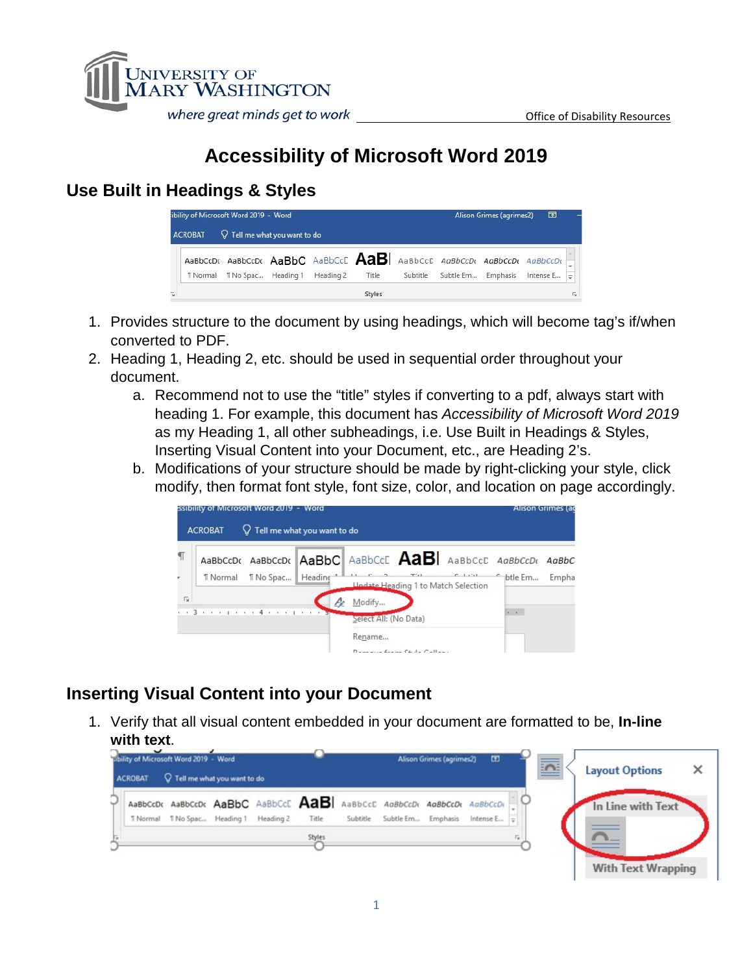

# **Accessibility of Microsoft Word 2019**

## **Use Built in Headings & Styles**

|                                                           |                 | ibility of Microsoft Word 2019 - Word                              |  |           |        |          | Alison Grimes (agrimes2) | 囨        |           |               |
|-----------------------------------------------------------|-----------------|--------------------------------------------------------------------|--|-----------|--------|----------|--------------------------|----------|-----------|---------------|
| $\mathbb Q$ Tell me what you want to do<br><b>ACROBAT</b> |                 |                                                                    |  |           |        |          |                          |          |           |               |
|                                                           |                 | AaBbCcDt AaBbCcDt AaBbC AaBbCcC AaBbCcD AaBbCcDt AaBbCcDt AaBbCcDt |  |           |        |          |                          |          |           |               |
|                                                           | <b>T</b> Normal | T No Spac Heading 1                                                |  | Heading 2 | Title  | Subtitle | Subtle Em                | Emphasis | Intense E | $\Rightarrow$ |
| G.                                                        |                 |                                                                    |  |           | Styles |          |                          |          |           | Гs.           |

- 1. Provides structure to the document by using headings, which will become tag's if/when converted to PDF.
- 2. Heading 1, Heading 2, etc. should be used in sequential order throughout your document.
	- a. Recommend not to use the "title" styles if converting to a pdf, always start with heading 1. For example, this document has *Accessibility of Microsoft Word 2019* as my Heading 1, all other subheadings, i.e. Use Built in Headings & Styles, Inserting Visual Content into your Document, etc., are Heading 2's.
	- b. Modifications of your structure should be made by right-clicking your style, click modify, then format font style, font size, color, and location on page accordingly.



## **Inserting Visual Content into your Document**

1. Verify that all visual content embedded in your document are formatted to be, **In-line with text**.

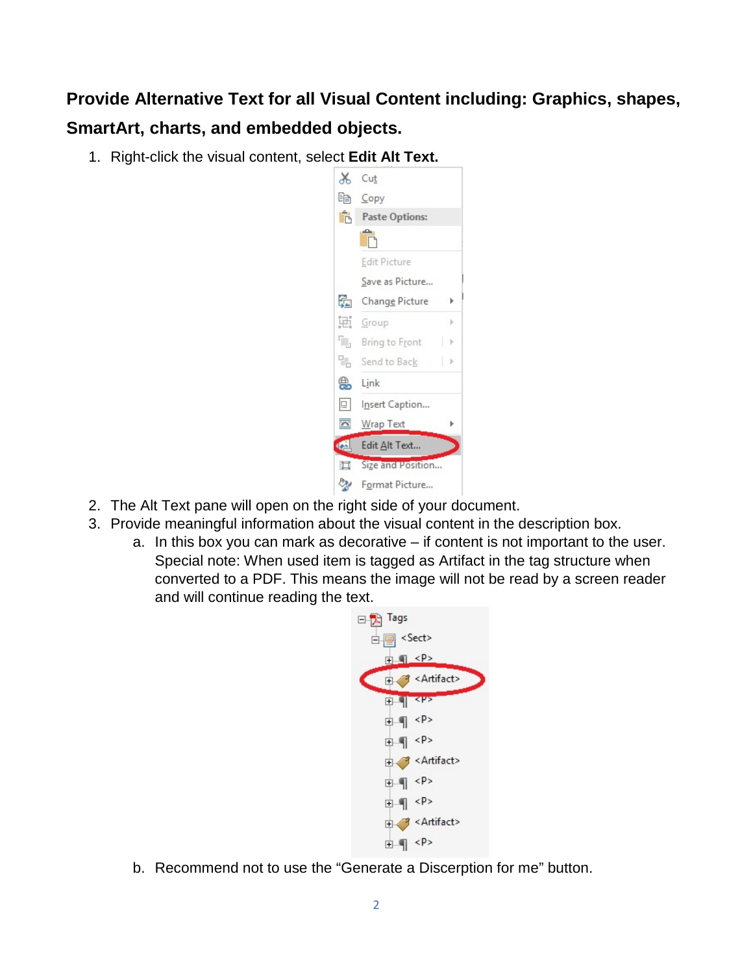# **Provide Alternative Text for all Visual Content including: Graphics, shapes, SmartArt, charts, and embedded objects.**

1. Right-click the visual content, select **Edit Alt Text.**



- 2. The Alt Text pane will open on the right side of your document.
- 3. Provide meaningful information about the visual content in the description box.
	- a. In this box you can mark as decorative if content is not important to the user. Special note: When used item is tagged as Artifact in the tag structure when converted to a PDF. This means the image will not be read by a screen reader and will continue reading the text.



b. Recommend not to use the "Generate a Discerption for me" button.